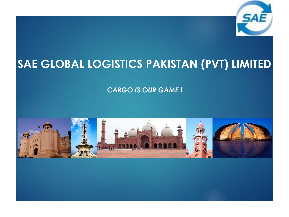

## **SAE GLOBAL LOGISTICS PAKISTAN (PVT) LIMITED**

*CARGO IS OUR GAME !*

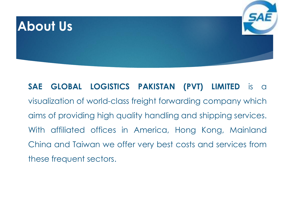

**SAE GLOBAL LOGISTICS PAKISTAN (PVT) LIMITED** is a visualization of world-class freight forwarding company which aims of providing high quality handling and shipping services. With affiliated offices in America, Hong Kong, Mainland China and Taiwan we offer very best costs and services from these frequent sectors.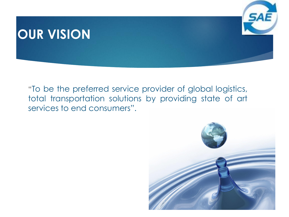#### **OUR VISION**



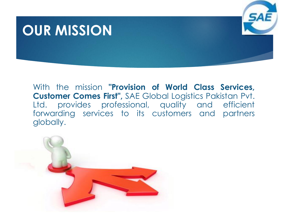## **OUR MISSION**



With the mission **"Provision of World Class Services, Customer Comes First",** SAE Global Logistics Pakistan Pvt. Ltd. provides professional, quality and efficient forwarding services to its customers and partners globally.

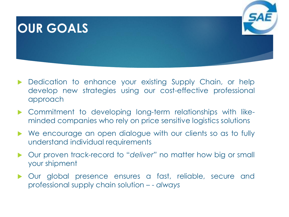#### **OUR GOALS**

- Dedication to enhance your existing Supply Chain, or help develop new strategies using our cost-effective professional approach
- Commitment to developing long-term relationships with likeminded companies who rely on price sensitive logistics solutions
- We encourage an open dialogue with our clients so as to fully understand individual requirements
- Our proven track-record to "*deliver"* no matter how big or small your shipment
- Our global presence ensures a fast, reliable, secure and professional supply chain solution – - *always*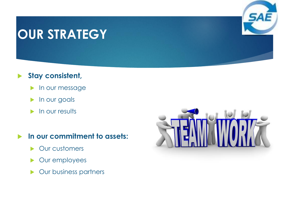## **OUR STRATEGY**



#### **Stay consistent,**

- **In our message**
- **In our goals**
- In our results

#### **In our commitment to assets:**

- **Dur customers**
- **Dur employees**
- **Dur business partners**

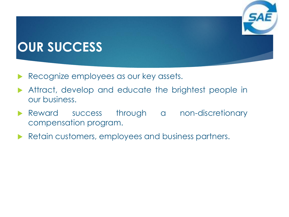## **OUR SUCCESS**

- Recognize employees as our key assets.
- Attract, develop and educate the brightest people in our business.
- Reward success through a non-discretionary compensation program.
- Retain customers, employees and business partners.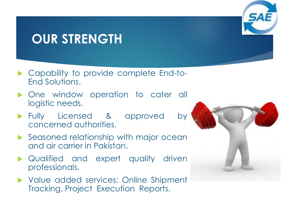## **OUR STRENGTH**

- ▶ Capability to provide complete End-to-End Solutions.
- **Diam** One window operation to cater all logistic needs.
- Fully Licensed & approved by concerned authorities.
- Seasoned relationship with major ocean and air carrier in Pakistan.
- **A** Qualified and expert quality driven professionals.
- Value added services: Online Shipment Tracking, Project Execution Reports.



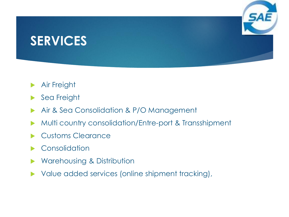## **SERVICES**

- Air Freight
- Sea Freight
- Air & Sea Consolidation & P/O Management
- Multi country consolidation/Entre-port & Transshipment
- Customs Clearance
- Consolidation
- Warehousing & Distribution
- Value added services (online shipment tracking),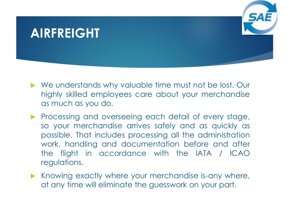#### **AIRFREIGHT**

- We understands why valuable time must not be lost. Our highly skilled employees care about your merchandise as much as you do.
- **Processing and overseeing each detail of every stage,** so your merchandise arrives safely and as quickly as possible. That includes processing all the administration work, handling and documentation before and after the flight in accordance with the IATA / ICAO regulations.
- $\blacktriangleright$  Knowing exactly where your merchandise is-any where, at any time will eliminate the guesswork on your part.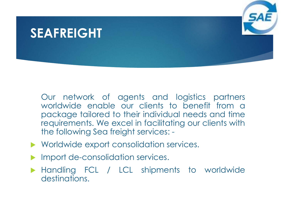#### **SEAFREIGHT**



- Worldwide export consolidation services.
- Import de-consolidation services.
- **Handling FCL / LCL shipments to worldwide** destinations.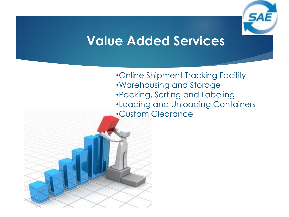

#### **Value Added Services**

•Online Shipment Tracking Facility •Warehousing and Storage •Packing, Sorting and Labeling •Loading and Unloading Containers •Custom Clearance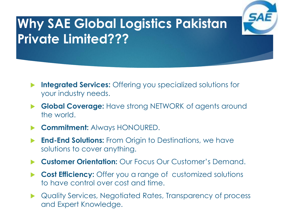# **Why SAE Global Logistics Pakistan Private Limited???**

- **Integrated Services:** Offering you specialized solutions for your industry needs.
- **Global Coverage:** Have strong NETWORK of agents around the world.
- **Commitment:** Always HONOURED.
- **End-End Solutions:** From Origin to Destinations, we have solutions to cover anything.
- **Customer Orientation:** Our Focus Our Customer's Demand.
- **Cost Efficiency:** Offer you a range of customized solutions to have control over cost and time.
- Quality Services, Negotiated Rates, Transparency of process and Expert Knowledge.